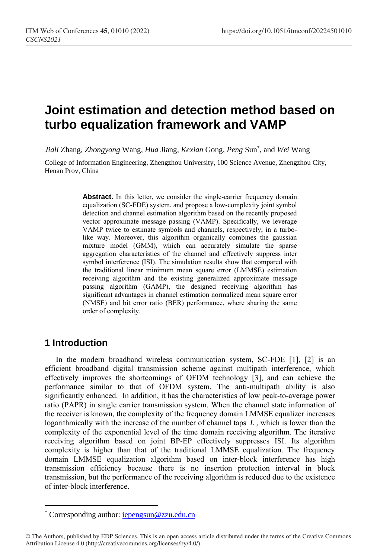# **Joint estimation and detection method based on turbo equalization framework and VAMP**

*Jiali* Zhang, *Zhongyong* Wang, *Hua* Jiang, *Kexian* Gong, *Peng* Sun\* , and *Wei* Wang

College of Information Engineering, Zhengzhou University, 100 Science Avenue, Zhengzhou City, Henan Prov, China

> Abstract. In this letter, we consider the single-carrier frequency domain equalization (SC-FDE) system, and propose a low-complexity joint symbol detection and channel estimation algorithm based on the recently proposed vector approximate message passing (VAMP). Specifically, we leverage VAMP twice to estimate symbols and channels, respectively, in a turbolike way. Moreover, this algorithm organically combines the gaussian mixture model (GMM), which can accurately simulate the sparse aggregation characteristics of the channel and effectively suppress inter symbol interference (ISI). The simulation results show that compared with the traditional linear minimum mean square error (LMMSE) estimation receiving algorithm and the existing generalized approximate message passing algorithm (GAMP), the designed receiving algorithm has significant advantages in channel estimation normalized mean square error (NMSE) and bit error ratio (BER) performance, where sharing the same order of complexity.

# **1 Introduction**

 $\overline{a}$ 

In the modern broadband wireless communication system, SC-FDE [1], [2] is an efficient broadband digital transmission scheme against multipath interference, which effectively improves the shortcomings of OFDM technology [3], and can achieve the performance similar to that of OFDM system. The anti-multipath ability is also significantly enhanced. In addition, it has the characteristics of low peak-to-average power ratio (PAPR) in single carrier transmission system. When the channel state information of the receiver is known, the complexity of the frequency domain LMMSE equalizer increases logarithmically with the increase of the number of channel taps *L* , which is lower than the complexity of the exponential level of the time domain receiving algorithm. The iterative receiving algorithm based on joint BP-EP effectively suppresses ISI. Its algorithm complexity is higher than that of the traditional LMMSE equalization. The frequency domain LMMSE equalization algorithm based on inter-block interference has high transmission efficiency because there is no insertion protection interval in block transmission, but the performance of the receiving algorithm is reduced due to the existence of inter-block interference.

<sup>\*</sup> Corresponding author: [iepengsun@zzu.edu.cn](mailto:iepengsun@zzu.edu.cn)

<sup>©</sup> The Authors, published by EDP Sciences. This is an open access article distributed under the terms of the Creative Commons Attribution License 4.0 (http://creativecommons.org/licenses/by/4.0/).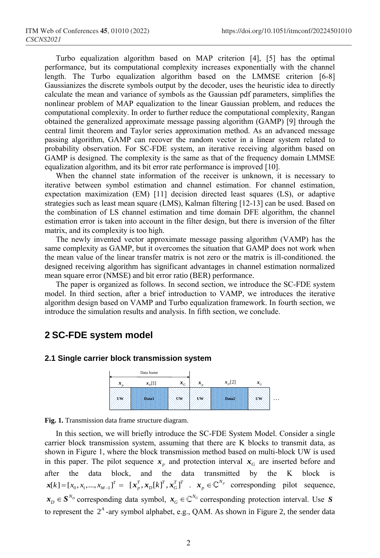Turbo equalization algorithm based on MAP criterion [4], [5] has the optimal performance, but its computational complexity increases exponentially with the channel length. The Turbo equalization algorithm based on the LMMSE criterion [6-8] Gaussianizes the discrete symbols output by the decoder, uses the heuristic idea to directly calculate the mean and variance of symbols as the Gaussian pdf parameters, simplifies the nonlinear problem of MAP equalization to the linear Gaussian problem, and reduces the computational complexity. In order to further reduce the computational complexity, Rangan obtained the generalized approximate message passing algorithm (GAMP) [9] through the central limit theorem and Taylor series approximation method. As an advanced message passing algorithm, GAMP can recover the random vector in a linear system related to probability observation. For SC-FDE system, an iterative receiving algorithm based on GAMP is designed. The complexity is the same as that of the frequency domain LMMSE equalization algorithm, and its bit error rate performance is improved [10].

When the channel state information of the receiver is unknown, it is necessary to iterative between symbol estimation and channel estimation. For channel estimation, expectation maximization (EM) [11] decision directed least squares (LS), or adaptive strategies such as least mean square (LMS), Kalman filtering [12-13] can be used. Based on the combination of LS channel estimation and time domain DFE algorithm, the channel estimation error is taken into account in the filter design, but there is inversion of the filter matrix, and its complexity is too high.

The newly invented vector approximate message passing algorithm (VAMP) has the same complexity as GAMP, but it overcomes the situation that GAMP does not work when the mean value of the linear transfer matrix is not zero or the matrix is ill-conditioned. the designed receiving algorithm has significant advantages in channel estimation normalized mean square error (NMSE) and bit error ratio (BER) performance.

The paper is organized as follows. In second section, we introduce the SC-FDE system model. In third section, after a brief introduction to VAMP, we introduces the iterative algorithm design based on VAMP and Turbo equalization framework. In fourth section, we introduce the simulation results and analysis. In fifth section, we conclude.

### **2 SC-FDE system model**

### **2.1 Single carrier block transmission system**



**Fig. 1.** Transmission data frame structure diagram.

In this section, we will briefly introduce the SC-FDE System Model. Consider a single carrier block transmission system, assuming that there are K blocks to transmit data, as shown in Figure 1, where the block transmission method based on multi-block UW is used in this paper. The pilot sequence  $x_p$  and protection interval  $x_q$  are inserted before and after the data block, and the data transmitted by the K block is  $\mathbf{x}[k] = [x_0, x_1, \dots, x_{M-1}]^T = [\mathbf{x}_p^T, \mathbf{x}_D[k]^T, \mathbf{x}_G^T]^T$   $\mathbf{x}_p \in \mathbb{C}^{N_p}$  corresponding pilot sequence,  $x_D \in S^{N_D}$  corresponding data symbol,  $x_G \in \mathbb{C}^{N_G}$  corresponding protection interval. Use *S* to represent the  $2<sup>A</sup>$ -ary symbol alphabet, e.g., QAM. As shown in Figure 2, the sender data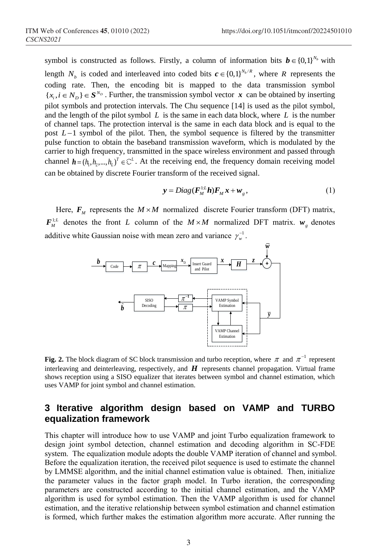symbol is constructed as follows. Firstly, a column of information bits  $\mathbf{b} \in \{0,1\}^{N_b}$  with length  $N_b$  is coded and interleaved into coded bits  $c \in \{0,1\}^{N_b/R}$ , where R represents the coding rate. Then, the encoding bit is mapped to the data transmission symbol  $\{x_i, i \in N_D\} \in S^{N_D}$ . Further, the transmission symbol vector  $x$  can be obtained by inserting pilot symbols and protection intervals. The Chu sequence [14] is used as the pilot symbol, and the length of the pilot symbol  $L$  is the same in each data block, where  $L$  is the number of channel taps. The protection interval is the same in each data block and is equal to the post  $L-1$  symbol of the pilot. Then, the symbol sequence is filtered by the transmitter pulse function to obtain the baseband transmission waveform, which is modulated by the carrier to high frequency, transmitted in the space wireless environment and passed through channel  $h = (h_1, h_2, ..., h_L)^T \in \mathbb{C}^L$ . At the receiving end, the frequency domain receiving model can be obtained by discrete Fourier transform of the received signal.

$$
y = Diag(F_M^{\perp L}h)F_Mx + w_g, \qquad (1)
$$

Here,  $F_M$  represents the  $M \times M$  normalized discrete Fourier transform (DFT) matrix,  $F_M^{1:L}$  denotes the front L column of the  $M \times M$  normalized DFT matrix.  $w_g$  denotes additive white Gaussian noise with mean zero and variance  $\gamma_w^{-1}$ .



**Fig. 2.** The block diagram of SC block transmission and turbo reception, where  $\pi$  and  $\pi^{-1}$  represent interleaving and deinterleaving, respectively, and *H* represents channel propagation. Virtual frame shows reception using a SISO equalizer that iterates between symbol and channel estimation, which uses VAMP for joint symbol and channel estimation.

# **3 Iterative algorithm design based on VAMP and TURBO equalization framework**

This chapter will introduce how to use VAMP and joint Turbo equalization framework to design joint symbol detection, channel estimation and decoding algorithm in SC-FDE system. The equalization module adopts the double VAMP iteration of channel and symbol. Before the equalization iteration, the received pilot sequence is used to estimate the channel by LMMSE algorithm, and the initial channel estimation value is obtained. Then, initialize the parameter values in the factor graph model. In Turbo iteration, the corresponding parameters are constructed according to the initial channel estimation, and the VAMP algorithm is used for symbol estimation. Then the VAMP algorithm is used for channel estimation, and the iterative relationship between symbol estimation and channel estimation is formed, which further makes the estimation algorithm more accurate. After running the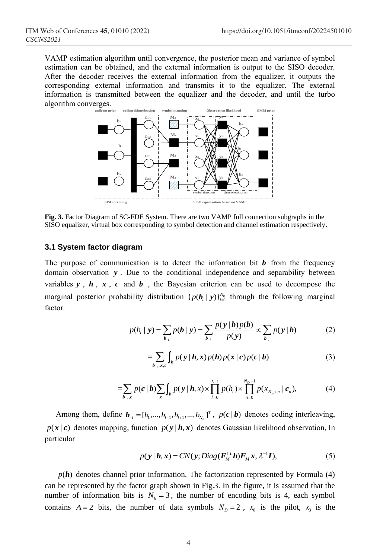VAMP estimation algorithm until convergence, the posterior mean and variance of symbol estimation can be obtained, and the external information is output to the SISO decoder. After the decoder receives the external information from the equalizer, it outputs the corresponding external information and transmits it to the equalizer. The external information is transmitted between the equalizer and the decoder, and until the turbo algorithm converges.



**Fig. 3.** Factor Diagram of SC-FDE System. There are two VAMP full connection subgraphs in the SISO equalizer, virtual box corresponding to symbol detection and channel estimation respectively.

#### **3.1 System factor diagram**

The purpose of communication is to detect the information bit  $\boldsymbol{b}$  from the frequency domain observation *y* . Due to the conditional independence and separability between variables  $y$ ,  $h$ ,  $x$ ,  $c$  and  $b$ , the Bayesian criterion can be used to decompose the marginal posterior probability distribution  $\{p(b_i | y)\}_{i=1}^{N_b}$  through the following marginal factor.

$$
p(b_i | \mathbf{y}) = \sum_{b_{-i}} p(b | \mathbf{y}) = \sum_{b_{-i}} \frac{p(\mathbf{y} | \mathbf{b}) p(\mathbf{b})}{p(\mathbf{y})} \propto \sum_{b_{-i}} p(\mathbf{y} | \mathbf{b})
$$
(2)

$$
=\sum_{b_{-i},x,c}\int_{h}p(y\,|\,h,x)p(h)p(x\,|\,c)p(c\,|\,b)\tag{3}
$$

$$
\sum_{b_{-i},x,e} b_{h} = \sum_{b_{-i},e} p(c \mid b) \sum_{x} \int_{h} p(y \mid h,x) \times \prod_{l=0}^{L-1} p(h_{l}) \times \prod_{n=0}^{N_{D}-1} p(x_{N_{p}+n} \mid c_{n}), \tag{4}
$$

Among them, define  $\boldsymbol{b}_{-i} = [b_1, ..., b_{i-1}, b_{i+1}, ..., b_{N_b}]^T$ ,  $p(\boldsymbol{c} | \boldsymbol{b})$  denotes coding interleaving,  $p(x | c)$  denotes mapping, function  $p(y | h, x)$  denotes Gaussian likelihood observation, In particular

$$
p(\mathbf{y} \mid \mathbf{h}, \mathbf{x}) = CN(\mathbf{y}; Diag(\mathbf{F}_{M}^{\perp L} \mathbf{h}) \mathbf{F}_{M} \mathbf{x}, \lambda^{-1} \mathbf{I}),
$$
\n(5)

 $p(h)$  denotes channel prior information. The factorization represented by Formula  $(4)$ can be represented by the factor graph shown in Fig.3. In the figure, it is assumed that the number of information bits is  $N_b = 3$ , the number of encoding bits is 4, each symbol contains  $A = 2$  bits, the number of data symbols  $N_D = 2$ ,  $x_0$  is the pilot,  $x_3$  is the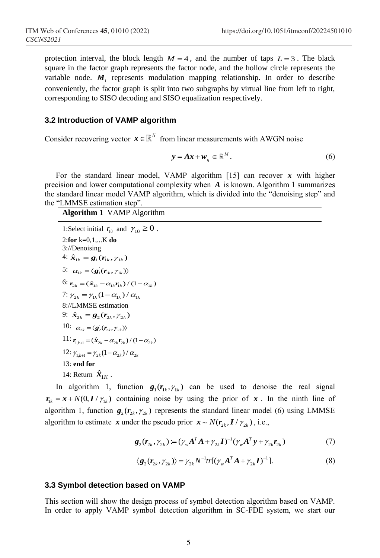protection interval, the block length  $M = 4$ , and the number of taps  $L = 3$ . The black square in the factor graph represents the factor node, and the hollow circle represents the variable node.  $M_i$  represents modulation mapping relationship. In order to describe conveniently, the factor graph is split into two subgraphs by virtual line from left to right, corresponding to SISO decoding and SISO equalization respectively.

#### **3.2 Introduction of VAMP algorithm**

Consider recovering vector  $\mathbf{x} \in \mathbb{R}^N$  from linear measurements with AWGN noise

$$
\mathbf{y} = A\mathbf{x} + \mathbf{w}_g \in \mathbb{R}^M. \tag{6}
$$

For the standard linear model, VAMP algorithm [15] can recover *x* with higher precision and lower computational complexity when *A* is known. Algorithm 1 summarizes the standard linear model VAMP algorithm, which is divided into the "denoising step" and the "LMMSE estimation step".

#### **Algorithm 1** VAMP Algorithm

1:Select initial  $r_{10}$  and  $\gamma_{10} \ge 0$ . 2:**for** k=0,1,...K **do** 3://Denoising 4:  $\hat{x}_{1k} = \hat{\mathbf{g}}_1(\mathbf{r}_{1k}, \gamma_{1k})$ 5:  $\alpha_{1k} = \langle \mathbf{g}_1(\mathbf{r}_{1k}, \gamma_{1k}) \rangle$ 6:  $\mathbf{r}_{2k} = (\hat{\mathbf{x}}_{1k} - \alpha_{1k} \mathbf{r}_{1k}) / (1 - \alpha_{1k})$ 7:  $\gamma_{2k} = \gamma_{1k} (1 - \alpha_{1k}) / \alpha_{1k}$ 8://LMMSE estimation 9:  $\hat{x}_{2k} = \mathbf{g}_2(\mathbf{r}_{2k}, \gamma_{2k})$ 10:  $\alpha_{2k} = \langle \mathbf{g}_2(\mathbf{r}_{2k}, \gamma_{2k}) \rangle$ 11:  $r_{1,k+1} = (\hat{x}_{2k} - \alpha_{2k} r_{2k})/(1 - \alpha_{2k})$ 12:  $\gamma_{1,k+1} = \gamma_{2k} (1 - \alpha_{2k}) / \alpha_{2k}$ 13: **end for** 14: Return  $\hat{\mathbf{x}}_{1K}$ .

In algorithm 1, function  $g_1(r_k, \gamma_k)$  can be used to denoise the real signal  $r_{1k} = x + N(0, I/\gamma_{1k})$  containing noise by using the prior of x. In the ninth line of algorithm 1, function  $g_2(r_{2k}, r_{2k})$  represents the standard linear model (6) using LMMSE algorithm to estimate x under the pseudo prior  $x \sim N(r_{2k}, I / r_{2k})$ , i.e.,

$$
\mathbf{g}_2(\mathbf{r}_{2k}, \gamma_{2k}) := (\gamma_w \mathbf{A}^T \mathbf{A} + \gamma_{2k} \mathbf{I})^{-1} (\gamma_w \mathbf{A}^T \mathbf{y} + \gamma_{2k} \mathbf{r}_{2k})
$$
(7)

$$
\langle \mathbf{g}_2(\mathbf{r}_{2k}, \gamma_{2k}) \rangle = \gamma_{2k} N^{-1} tr[(\gamma_w \mathbf{A}^T \mathbf{A} + \gamma_{2k} \mathbf{I})^{-1}]. \tag{8}
$$

#### **3.3 Symbol detection based on VAMP**

This section will show the design process of symbol detection algorithm based on VAMP. In order to apply VAMP symbol detection algorithm in SC-FDE system, we start our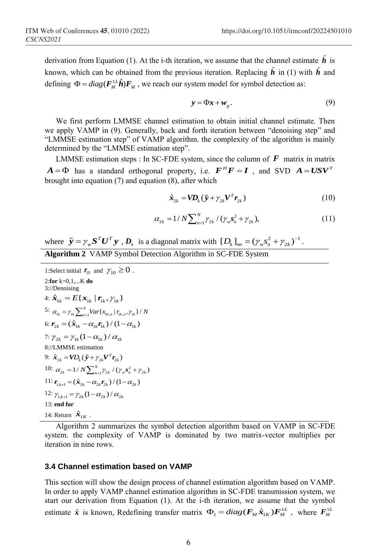derivation from Equation (1). At the *i*-th iteration, we assume that the channel estimate  $\hat{h}$  is known, which can be obtained from the previous iteration. Replacing  $\hat{h}$  in (1) with  $\hat{h}$  and defining  $\Phi = diag(F_M^{\perp L} \hat{\boldsymbol{h}}) F_M$ , we reach our system model for symbol detection as:

$$
y = \Phi x + w_g. \tag{9}
$$

We first perform LMMSE channel estimation to obtain initial channel estimate. Then we apply VAMP in (9). Generally, back and forth iteration between "denoising step" and "LMMSE estimation step" of VAMP algorithm. the complexity of the algorithm is mainly determined by the "LMMSE estimation step".

LMMSE estimation steps : In SC-FDE system, since the column of  $\bm{F}$  matrix in matrix  $A = \Phi$  has a standard orthogonal property, i.e.  $F^H F = I$ , and SVD  $A = USV^T$ brought into equation (7) and equation (8), after which

$$
\hat{\boldsymbol{x}}_{2k} = \boldsymbol{V} \boldsymbol{D}_k (\tilde{\boldsymbol{y}} + \gamma_{2k} \boldsymbol{V}^T \boldsymbol{r}_{2k})
$$
\n(10)

$$
\alpha_{2k} = 1/N \sum_{n=1}^{N} \gamma_{2k} / (\gamma_w s_n^2 + \gamma_{2k}), \qquad (11)
$$

where  $\tilde{y} = \gamma_w \mathbf{S}^T \mathbf{U}^T \mathbf{y}$ ,  $\mathbf{D}_k$  is a diagonal matrix with  $[D_k]_{nn} = (\gamma_w s_n^2 + \gamma_{2k})^{-1}$ . **Algorithm 2** VAMP Symbol Detection Algorithm in SC-FDE System

1:Select initial  $r_{10}$  and  $\gamma_{10} \ge 0$ . 2:**for** k=0,1,...K **do** 3://Denoising 4:  $\hat{x}_{1k} = E\{x_{1k} | r_{1k}, \gamma_{1k}\}$ 5:  $\alpha_{1k} = \gamma_{1k} \sum_{n=1}^{N} Var\{x_{1k,n} | r_{1k,n}, \gamma_{1k}\}/N$ 6:  $\bm{r}_{2k} = (\hat{\bm{x}}_{1k} - \alpha_{1k} \bm{r}_{1k}) / (1 - \alpha_{1k})$ 7:  $\gamma_{2k} = \gamma_{1k} (1 - \alpha_{1k}) / \alpha_{1k}$ 8://LMMSE estimation 9:  $\hat{x}_{2k} = \mathbf{V}D_k(\tilde{y} + \gamma_{2k} \mathbf{V}^T \mathbf{r}_{2k})$ 10:  $\alpha_{2k} = 1/N \sum_{n=1}^{N} \gamma_{2k} / (\gamma_w s_n^2 + \gamma_{2k})$ 11:  $\mathbf{r}_{1,k+1} = (\hat{\mathbf{x}}_{2k} - \alpha_{2k} \mathbf{r}_{2k}) / (1 - \alpha_{2k})$ 12:  $\gamma_{1,k+1} = \gamma_{2k} (1 - \alpha_{2k}) / \alpha_{2k}$ 13: **end for** 14: Return  $\hat{\mathbf{x}}_{1K}$ .

Algorithm 2 summarizes the symbol detection algorithm based on VAMP in SC-FDE system. the complexity of VAMP is dominated by two matrix-vector multiplies per iteration in nine rows.

#### **3.4 Channel estimation based on VAMP**

This section will show the design process of channel estimation algorithm based on VAMP. In order to apply VAMP channel estimation algorithm in SC-FDE transmission system, we start our derivation from Equation (1). At the i-th iteration, we assume that the symbol estimate  $\hat{x}$  is known, Redefining transfer matrix  $\Phi_1 = diag(\mathbf{F}_M \hat{x}_{1K}) \mathbf{F}_M^{\text{L}}$ , where  $\mathbf{F}_M^{\text{L}}$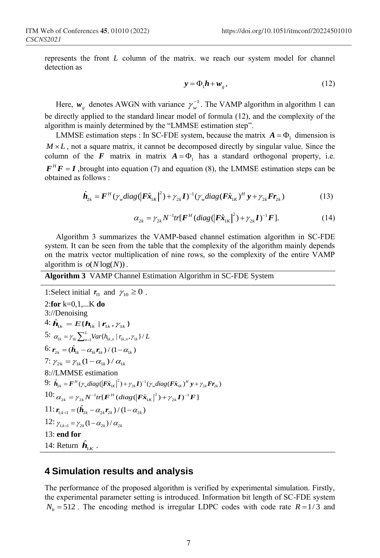represents the front *L* column of the matrix. we reach our system model for channel detection as

$$
y = \Phi_1 h + w_g, \qquad (12)
$$

Here,  $w_g$  denotes AWGN with variance  $\gamma_w^{-1}$ . The VAMP algorithm in algorithm 1 can be directly applied to the standard linear model of formula (12), and the complexity of the algorithm is mainly determined by the "LMMSE estimation step".

LMMSE estimation steps : In SC-FDE system, because the matrix  $A = \Phi_1$  dimension is  $M \times L$ , not a square matrix, it cannot be decomposed directly by singular value. Since the column of the  $\boldsymbol{F}$  matrix in matrix  $\boldsymbol{A} = \boldsymbol{\Phi}_1$  has a standard orthogonal property, i.e.  $F<sup>H</sup>F = I$ , brought into equation (7) and equation (8), the LMMSE estimation steps can be obtained as follows :

follows :  
\n
$$
\hat{\boldsymbol{h}}_{2k} = \boldsymbol{F}^H (\gamma_w diag(\left|\boldsymbol{F}\hat{\boldsymbol{x}}_{1K}\right|^2) + \gamma_{2k} \boldsymbol{I})^{-1} (\gamma_w diag(\boldsymbol{F}\hat{\boldsymbol{x}}_{1K})^H \boldsymbol{y} + \gamma_{2k} \boldsymbol{F} \boldsymbol{r}_{2k})
$$
\n(13)

$$
\alpha_{2k} = \gamma_{2k} N^{-1} tr[\mathbf{F}^{H} (diag(|\mathbf{F} \hat{\mathbf{x}}_{1K}|^{2}) + \gamma_{2k} \mathbf{I})^{-1} \mathbf{F}].
$$
 (14)

Algorithm 3 summarizes the VAMP-based channel estimation algorithm in SC-FDE system. It can be seen from the table that the complexity of the algorithm mainly depends on the matrix vector multiplication of nine rows, so the complexity of the entire VAMP algorithm is  $o(N \log(N))$ .

**Algorithm 3** VAMP Channel Estimation Algorithm in SC-FDE System

1:Select initial  $r_{10}$  and  $\gamma_{10} \ge 0$ . 2:**for** k=0,1,...K **do** 3://Denoising  $4: \hat{\bm{h}}_{1k} = E\{\bm{h}_{1k} | \bm{r}_{1k}, \bm{\gamma}_{1k}\}\$ 5:  $\alpha_{1k} = \gamma_{1k} \sum_{n=1}^{L} Var\{h_{1k,n} | r_{1k,n}, \gamma_{1k}\}/L$ 6:  $\mathbf{r}_{2k} = (\hat{\mathbf{h}}_{1k} - \alpha_{1k} \mathbf{r}_{1k}) / (1 - \alpha_{1k})$ 7:  $\gamma_{2k} = \gamma_{1k} (1 - \alpha_{1k}) / \alpha_{1k}$ 8://LMMSE estimation 8://LMMSE estimation<br>9:  $\hat{\mathbf{h}}_{2k} = \mathbf{F}^H (\gamma_w diag(\mathbf{F} \hat{\mathbf{x}}_{1k}|^2) + \gamma_{2k} \mathbf{I})^{-1} (\gamma_w diag(\mathbf{F} \hat{\mathbf{x}}_{1k})^H \mathbf{y} + \gamma_{2k} \mathbf{F} \mathbf{r}_{2k})$ 9:  $h_{2k} = F''(\gamma_w diag(|Fx_{1k}|) + \gamma_{2k}I)'(\gamma_w diag(Fx_{1k}|) + \gamma_{2k}I)'$ <br>10:  $\alpha_{2k} = \gamma_{2k}N^{-1}tr[F^H (diag(|F\hat{x}_{1k}|^2) + \gamma_{2k}I)^{-1}F]$  $11:$   $\mathbf{r}_{1,k+1} = (\hat{\mathbf{h}}_{2k} - \alpha_{2k} \mathbf{r}_{2k})/(1 - \alpha_{2k})$ 12:  $\gamma_{1,k+1} = \gamma_{2k} (1 - \alpha_{2k}) / \alpha_{2k}$ 13: **end for** 14: Return  $\hat{\mathbf{h}}_{1K}$ .

## **4 Simulation results and analysis**

The performance of the proposed algorithm is verified by experimental simulation. Firstly, the experimental parameter setting is introduced. Information bit length of SC-FDE system  $N_b = 512$ . The encoding method is irregular LDPC codes with code rate  $R = 1/3$  and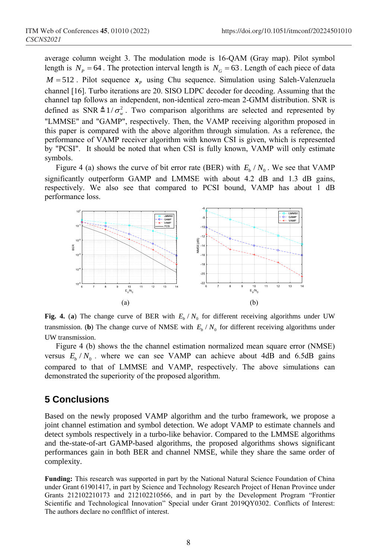average column weight 3. The modulation mode is 16-QAM (Gray map). Pilot symbol length is  $N_p = 64$ . The protection interval length is  $N_G = 63$ . Length of each piece of data  $M = 512$ . Pilot sequence  $x<sub>p</sub>$  using Chu sequence. Simulation using Saleh-Valenzuela channel [16]. Turbo iterations are 20. SISO LDPC decoder for decoding. Assuming that the channel tap follows an independent, non-identical zero-mean 2-GMM distribution. SNR is defined as SNR  $\triangleq 1/\sigma_w^2$ . Two comparison algorithms are selected and represented by "LMMSE" and "GAMP", respectively. Then, the VAMP receiving algorithm proposed in this paper is compared with the above algorithm through simulation. As a reference, the performance of VAMP receiver algorithm with known CSI is given, which is represented by "PCSI". It should be noted that when CSI is fully known, VAMP will only estimate symbols.

Figure 4 (a) shows the curve of bit error rate (BER) with  $E_b/N_0$ . We see that VAMP significantly outperform GAMP and LMMSE with about 4.2 dB and 1.3 dB gains, respectively. We also see that compared to PCSI bound, VAMP has about 1 dB performance loss.



**Fig. 4.** (a) The change curve of BER with  $E_b/N_0$  for different receiving algorithms under UW transmission. (**b**) The change curve of NMSE with  $E_b/N_0$  for different receiving algorithms under UW transmission.

Figure 4 (b) shows the the channel estimation normalized mean square error (NMSE) versus  $E_b/N_0$ . where we can see VAMP can achieve about 4dB and 6.5dB gains compared to that of LMMSE and VAMP, respectively. The above simulations can demonstrated the superiority of the proposed algorithm.

# **5 Conclusions**

Based on the newly proposed VAMP algorithm and the turbo framework, we propose a joint channel estimation and symbol detection. We adopt VAMP to estimate channels and detect symbols respectively in a turbo-like behavior. Compared to the LMMSE algorithms and the-state-of-art GAMP-based algorithms, the proposed algorithms shows significant performances gain in both BER and channel NMSE, while they share the same order of complexity.

**Funding:** This research was supported in part by the National Natural Science Foundation of China under Grant 61901417, in part by Science and Technology Research Project of Henan Province under Grants 212102210173 and 212102210566, and in part by the Development Program "Frontier Scientific and Technological Innovation" Special under Grant 2019QY0302. Conflicts of Interest: The authors declare no conflflict of interest.